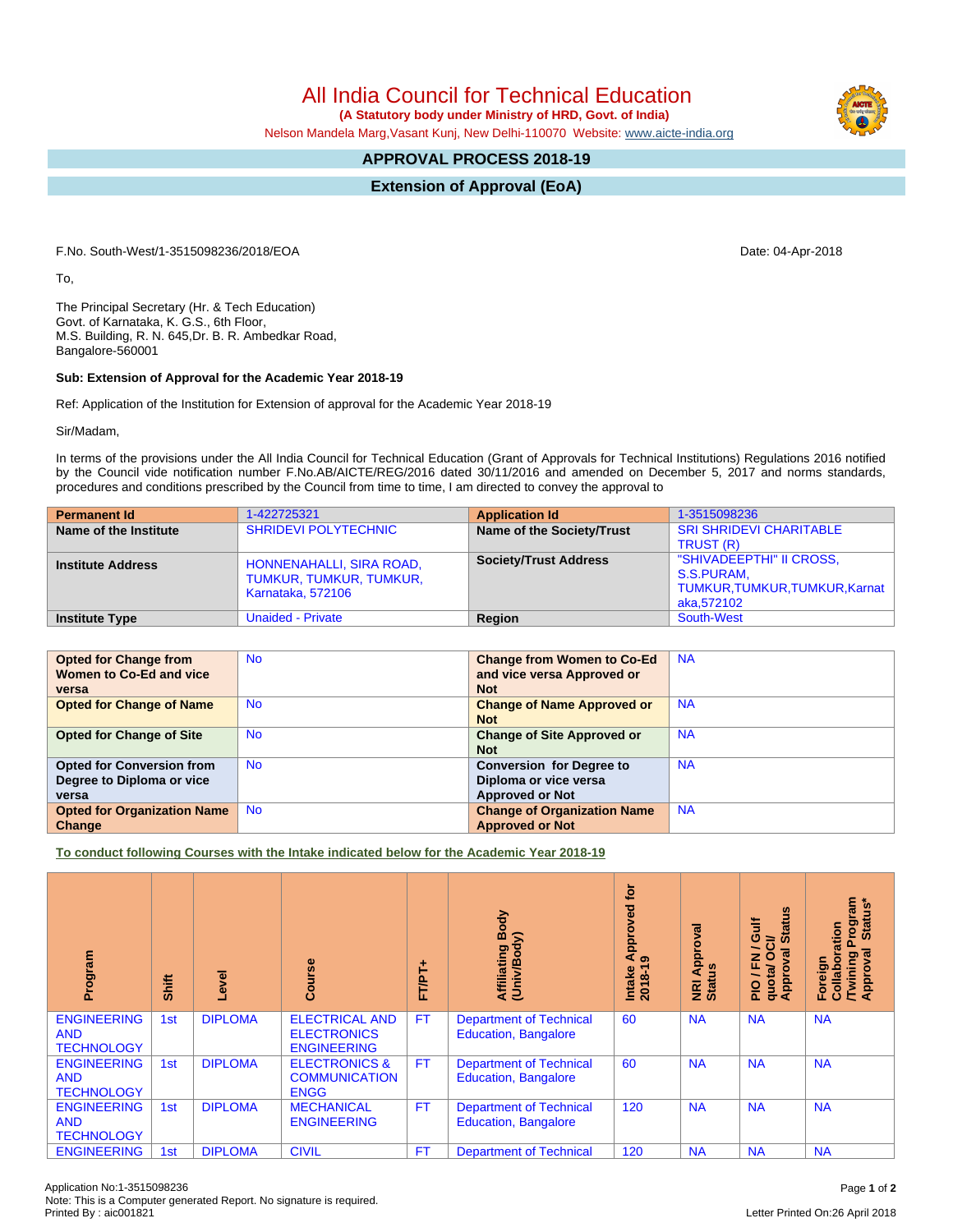All India Council for Technical Education

 **(A Statutory body under Ministry of HRD, Govt. of India)**

Nelson Mandela Marg,Vasant Kunj, New Delhi-110070 Website: [www.aicte-india.org](http://www.aicte-india.org)

## **APPROVAL PROCESS 2018-19**

**Extension of Approval (EoA)**

F.No. South-West/1-3515098236/2018/EOA Date: 04-Apr-2018

To,

The Principal Secretary (Hr. & Tech Education) Govt. of Karnataka, K. G.S., 6th Floor, M.S. Building, R. N. 645,Dr. B. R. Ambedkar Road, Bangalore-560001

## **Sub: Extension of Approval for the Academic Year 2018-19**

Ref: Application of the Institution for Extension of approval for the Academic Year 2018-19

Sir/Madam,

In terms of the provisions under the All India Council for Technical Education (Grant of Approvals for Technical Institutions) Regulations 2016 notified by the Council vide notification number F.No.AB/AICTE/REG/2016 dated 30/11/2016 and amended on December 5, 2017 and norms standards, procedures and conditions prescribed by the Council from time to time, I am directed to convey the approval to

| <b>Permanent Id</b>      | 1-422725321                                                              | <b>Application Id</b>        | 1-3515098236                                                                           |
|--------------------------|--------------------------------------------------------------------------|------------------------------|----------------------------------------------------------------------------------------|
| Name of the Institute    | <b>SHRIDEVI POLYTECHNIC</b>                                              | Name of the Society/Trust    | <b>SRI SHRIDEVI CHARITABLE</b>                                                         |
|                          |                                                                          |                              | TRUST (R)                                                                              |
| <b>Institute Address</b> | HONNENAHALLI, SIRA ROAD,<br>TUMKUR, TUMKUR, TUMKUR,<br>Karnataka, 572106 | <b>Society/Trust Address</b> | "SHIVADEEPTHI" II CROSS,<br>S.S.PURAM,<br>TUMKUR, TUMKUR, TUMKUR, Karnat<br>aka,572102 |
| <b>Institute Type</b>    | <b>Unaided - Private</b>                                                 | Region                       | South-West                                                                             |

| <b>Opted for Change from</b>       | <b>No</b> | <b>Change from Women to Co-Ed</b>  | <b>NA</b> |
|------------------------------------|-----------|------------------------------------|-----------|
| Women to Co-Ed and vice            |           | and vice versa Approved or         |           |
| versa                              |           | <b>Not</b>                         |           |
| <b>Opted for Change of Name</b>    | <b>No</b> | <b>Change of Name Approved or</b>  | <b>NA</b> |
|                                    |           | <b>Not</b>                         |           |
| <b>Opted for Change of Site</b>    | <b>No</b> | <b>Change of Site Approved or</b>  | <b>NA</b> |
|                                    |           | <b>Not</b>                         |           |
| <b>Opted for Conversion from</b>   | <b>No</b> | <b>Conversion for Degree to</b>    | <b>NA</b> |
| Degree to Diploma or vice          |           | Diploma or vice versa              |           |
| versa                              |           | <b>Approved or Not</b>             |           |
| <b>Opted for Organization Name</b> | <b>No</b> | <b>Change of Organization Name</b> | <b>NA</b> |
| Change                             |           | <b>Approved or Not</b>             |           |

**To conduct following Courses with the Intake indicated below for the Academic Year 2018-19**

| Program                                               | Shift | Level          | rse<br>යි                                                         | 广<br>hT<br>hT | Body<br>Affiliating Book                                      | <b>jo</b><br>pproved<br>ৰ<br>ၜ<br>$2018 - 19$<br>Intake | Approval<br><b>NRI Ap<br/>Status</b> | $\frac{6}{2}$<br>š<br>둖<br>ŏ,<br>ဖ<br>ಕ<br>∽<br>O<br>$\omega$<br>준<br>quota/<br>Appro<br>$\frac{1}{2}$ | rogram<br>Status*<br>boration<br>ह<br>Foreign<br>/Twinir<br>Approv<br>Collat |
|-------------------------------------------------------|-------|----------------|-------------------------------------------------------------------|---------------|---------------------------------------------------------------|---------------------------------------------------------|--------------------------------------|--------------------------------------------------------------------------------------------------------|------------------------------------------------------------------------------|
| <b>ENGINEERING</b><br><b>AND</b><br><b>TECHNOLOGY</b> | 1st   | <b>DIPLOMA</b> | <b>ELECTRICAL AND</b><br><b>ELECTRONICS</b><br><b>ENGINEERING</b> | <b>FT</b>     | <b>Department of Technical</b><br><b>Education, Bangalore</b> | 60                                                      | <b>NA</b>                            | <b>NA</b>                                                                                              | <b>NA</b>                                                                    |
| <b>ENGINEERING</b><br><b>AND</b><br><b>TECHNOLOGY</b> | 1st   | <b>DIPLOMA</b> | <b>ELECTRONICS &amp;</b><br><b>COMMUNICATION</b><br><b>ENGG</b>   | FT.           | <b>Department of Technical</b><br><b>Education, Bangalore</b> | 60                                                      | <b>NA</b>                            | <b>NA</b>                                                                                              | <b>NA</b>                                                                    |
| <b>ENGINEERING</b><br><b>AND</b><br><b>TECHNOLOGY</b> | 1st   | <b>DIPLOMA</b> | <b>MECHANICAL</b><br><b>ENGINEERING</b>                           | <b>FT</b>     | <b>Department of Technical</b><br><b>Education, Bangalore</b> | 120                                                     | <b>NA</b>                            | <b>NA</b>                                                                                              | <b>NA</b>                                                                    |
| <b>ENGINEERING</b>                                    | 1st   | <b>DIPLOMA</b> | <b>CIVIL</b>                                                      | <b>FT</b>     | <b>Department of Technical</b>                                | 120                                                     | <b>NA</b>                            | <b>NA</b>                                                                                              | <b>NA</b>                                                                    |